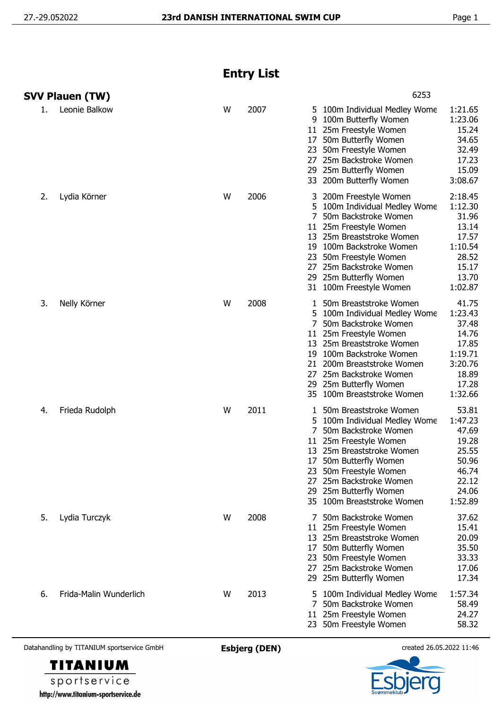## **Entry List**

|    | <b>SVV Plauen (TW)</b> |   |      |                           | 6253                                                                                                                                                                                                                                                                        |                                                                                                |
|----|------------------------|---|------|---------------------------|-----------------------------------------------------------------------------------------------------------------------------------------------------------------------------------------------------------------------------------------------------------------------------|------------------------------------------------------------------------------------------------|
| 1. | Leonie Balkow          | W | 2007 | 5.<br>9<br>17<br>23<br>27 | 100m Individual Medley Wome<br>100m Butterfly Women<br>11 25m Freestyle Women<br>50m Butterfly Women<br>50m Freestyle Women<br>25m Backstroke Women<br>29 25m Butterfly Women<br>33 200m Butterfly Women                                                                    | 1:21.65<br>1:23.06<br>15.24<br>34.65<br>32.49<br>17.23<br>15.09<br>3:08.67                     |
| 2. | Lydia Körner           | W | 2006 | 5.<br>7                   | 200m Freestyle Women<br>100m Individual Medley Wome<br>50m Backstroke Women<br>11 25m Freestyle Women<br>13 25m Breaststroke Women<br>19 100m Backstroke Women<br>23 50m Freestyle Women<br>27 25m Backstroke Women<br>29 25m Butterfly Women<br>31 100m Freestyle Women    | 2:18.45<br>1:12.30<br>31.96<br>13.14<br>17.57<br>1:10.54<br>28.52<br>15.17<br>13.70<br>1:02.87 |
| 3. | Nelly Körner           | W | 2008 | 5.<br>7<br>13<br>19       | 50m Breaststroke Women<br>100m Individual Medley Wome<br>50m Backstroke Women<br>11 25m Freestyle Women<br>25m Breaststroke Women<br>100m Backstroke Women<br>21 200m Breaststroke Women<br>27 25m Backstroke Women<br>29 25m Butterfly Women<br>35 100m Breaststroke Women | 41.75<br>1:23.43<br>37.48<br>14.76<br>17.85<br>1:19.71<br>3:20.76<br>18.89<br>17.28<br>1:32.66 |
| 4. | Frieda Rudolph         | W | 2011 | 5<br>11<br>13<br>27       | 50m Breaststroke Women<br>100m Individual Medley Wome<br>50m Backstroke Women<br>25m Freestyle Women<br>25m Breaststroke Women<br>17 50m Butterfly Women<br>23 50m Freestyle Women<br>25m Backstroke Women<br>29 25m Butterfly Women<br>35 100m Breaststroke Women          | 53.81<br>1:47.23<br>47.69<br>19.28<br>25.55<br>50.96<br>46.74<br>22.12<br>24.06<br>1:52.89     |
| 5. | Lydia Turczyk          | W | 2008 | 17<br>23                  | 7 50m Backstroke Women<br>11 25m Freestyle Women<br>13 25m Breaststroke Women<br>50m Butterfly Women<br>50m Freestyle Women<br>27 25m Backstroke Women<br>29 25m Butterfly Women                                                                                            | 37.62<br>15.41<br>20.09<br>35.50<br>33.33<br>17.06<br>17.34                                    |
| 6. | Frida-Malin Wunderlich | W | 2013 | 5.                        | 100m Individual Medley Wome<br>50m Backstroke Women<br>11 25m Freestyle Women<br>23 50m Freestyle Women                                                                                                                                                                     | 1:57.34<br>58.49<br>24.27<br>58.32                                                             |

Datahandling by TITANIUM sportservice GmbH **Esbjerg (DEN)** created 26.05.2022 11:46



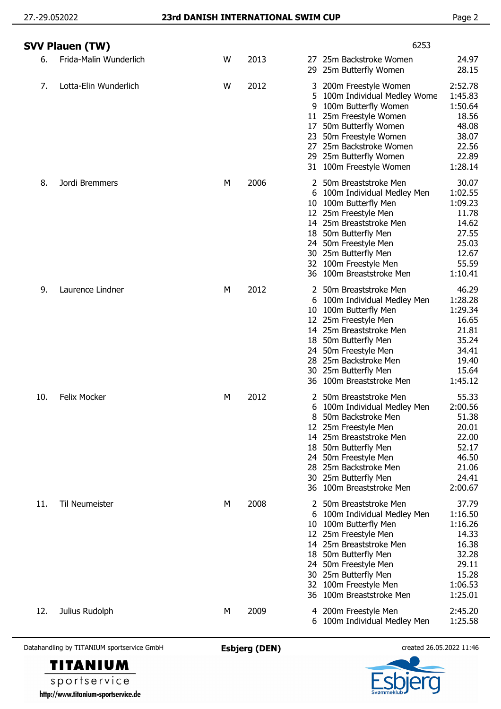|     | <b>SVV Plauen (TW)</b> |   |      | 6253                                                                                                                                                                                                                                                                                                                                                                                      |
|-----|------------------------|---|------|-------------------------------------------------------------------------------------------------------------------------------------------------------------------------------------------------------------------------------------------------------------------------------------------------------------------------------------------------------------------------------------------|
| 6.  | Frida-Malin Wunderlich | W | 2013 | 25m Backstroke Women<br>24.97<br>27<br>28.15<br>29<br>25m Butterfly Women                                                                                                                                                                                                                                                                                                                 |
| 7.  | Lotta-Elin Wunderlich  | W | 2012 | 2:52.78<br>3 200m Freestyle Women<br>1:45.83<br>100m Individual Medley Wome<br>5<br>100m Butterfly Women<br>1:50.64<br>9<br>25m Freestyle Women<br>18.56<br>11 <sup>1</sup><br>50m Butterfly Women<br>48.08<br>17<br>23 50m Freestyle Women<br>38.07<br>25m Backstroke Women<br>22.56<br>27<br>29 25m Butterfly Women<br>22.89<br>100m Freestyle Women<br>1:28.14<br>31                   |
| 8.  | Jordi Bremmers         | М | 2006 | 30.07<br>50m Breaststroke Men<br>2<br>100m Individual Medley Men<br>1:02.55<br>6<br>1:09.23<br>100m Butterfly Men<br>10<br>12 25m Freestyle Men<br>11.78<br>14.62<br>14 25m Breaststroke Men<br>27.55<br>50m Butterfly Men<br>18<br>25.03<br>50m Freestyle Men<br>24<br>12.67<br>30 25m Butterfly Men<br>55.59<br>100m Freestyle Men<br>32<br>100m Breaststroke Men<br>1:10.41<br>36      |
| 9.  | Laurence Lindner       | М | 2012 | 46.29<br>2 50m Breaststroke Men<br>1:28.28<br>100m Individual Medley Men<br>6<br>1:29.34<br>100m Butterfly Men<br>10<br>16.65<br>12 25m Freestyle Men<br>21.81<br>14 25m Breaststroke Men<br>35.24<br>50m Butterfly Men<br>18<br>34.41<br>24 50m Freestyle Men<br>28 25m Backstroke Men<br>19.40<br>15.64<br>25m Butterfly Men<br>30<br>100m Breaststroke Men<br>1:45.12<br>36            |
| 10. | <b>Felix Mocker</b>    | M | 2012 | 55.33<br>50m Breaststroke Men<br>2:00.56<br>100m Individual Medley Men<br>6<br>50m Backstroke Men<br>51.38<br>20.01<br>25m Freestyle Men<br>12<br>22.00<br>25m Breaststroke Men<br>14<br>50m Butterfly Men<br>52.17<br>18<br>46.50<br>50m Freestyle Men<br>24<br>25m Backstroke Men<br>21.06<br>28<br>24.41<br>25m Butterfly Men<br>30<br>100m Breaststroke Men<br>2:00.67<br>36.         |
| 11. | <b>Til Neumeister</b>  | М | 2008 | 37.79<br>50m Breaststroke Men<br>2<br>1:16.50<br>100m Individual Medley Men<br>6<br>1:16.26<br>100m Butterfly Men<br>10<br>14.33<br>25m Freestyle Men<br>12<br>16.38<br>14 25m Breaststroke Men<br>32.28<br>50m Butterfly Men<br>18<br>29.11<br>50m Freestyle Men<br>24<br>15.28<br>30 25m Butterfly Men<br>1:06.53<br>100m Freestyle Men<br>32<br>1:25.01<br>100m Breaststroke Men<br>36 |
| 12. | Julius Rudolph         | M | 2009 | 2:45.20<br>4 200m Freestyle Men<br>6 100m Individual Medley Men<br>1:25.58                                                                                                                                                                                                                                                                                                                |

Datahandling by TITANIUM sportservice GmbH **Esbjerg (DEN)** created 26.05.2022 11:46

http://www.titanium-sportservice.de

**TITANIUM** sportservice